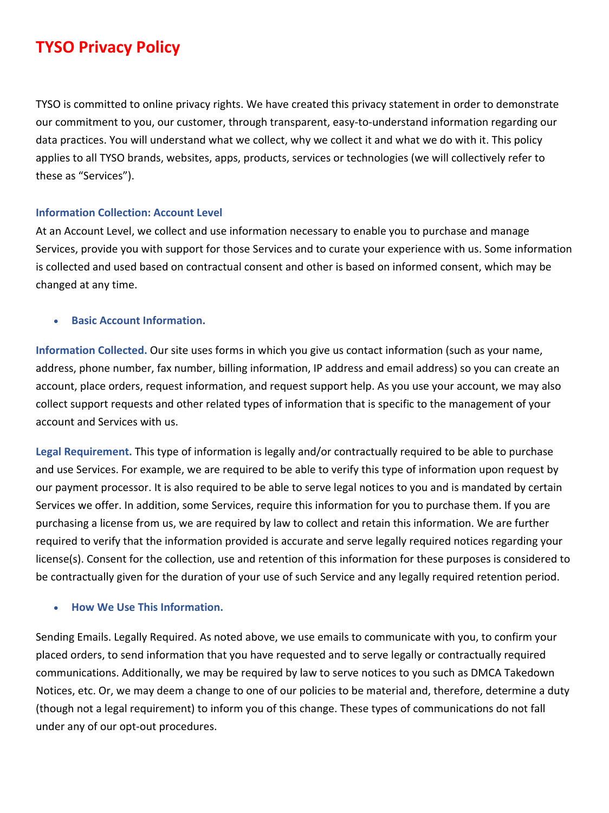# **TYSO Privacy Policy**

TYSO is committed to online privacy rights. We have created this privacy statement in order to demonstrate our commitment to you, our customer, through transparent, easy-to-understand information regarding our data practices. You will understand what we collect, why we collect it and what we do with it. This policy applies to all TYSO brands, websites, apps, products, services or technologies (we will collectively refer to these as "Services").

#### **Information Collection: Account Level**

At an Account Level, we collect and use information necessary to enable you to purchase and manage Services, provide you with support for those Services and to curate your experience with us. Some information is collected and used based on contractual consent and other is based on informed consent, which may be changed at any time.

## • **Basic Account Information.**

**Information Collected.** Our site uses forms in which you give us contact information (such as your name, address, phone number, fax number, billing information, IP address and email address) so you can create an account, place orders, request information, and request support help. As you use your account, we may also collect support requests and other related types of information that is specific to the management of your account and Services with us.

**Legal Requirement.** This type of information is legally and/or contractually required to be able to purchase and use Services. For example, we are required to be able to verify this type of information upon request by our payment processor. It is also required to be able to serve legal notices to you and is mandated by certain Services we offer. In addition, some Services, require this information for you to purchase them. If you are purchasing a license from us, we are required by law to collect and retain this information. We are further required to verify that the information provided is accurate and serve legally required notices regarding your license(s). Consent for the collection, use and retention of this information for these purposes is considered to be contractually given for the duration of your use of such Service and any legally required retention period.

#### • **How We Use This Information.**

Sending Emails. Legally Required. As noted above, we use emails to communicate with you, to confirm your placed orders, to send information that you have requested and to serve legally or contractually required communications. Additionally, we may be required by law to serve notices to you such as DMCA Takedown Notices, etc. Or, we may deem a change to one of our policies to be material and, therefore, determine a duty (though not a legal requirement) to inform you of this change. These types of communications do not fall under any of our opt-out procedures.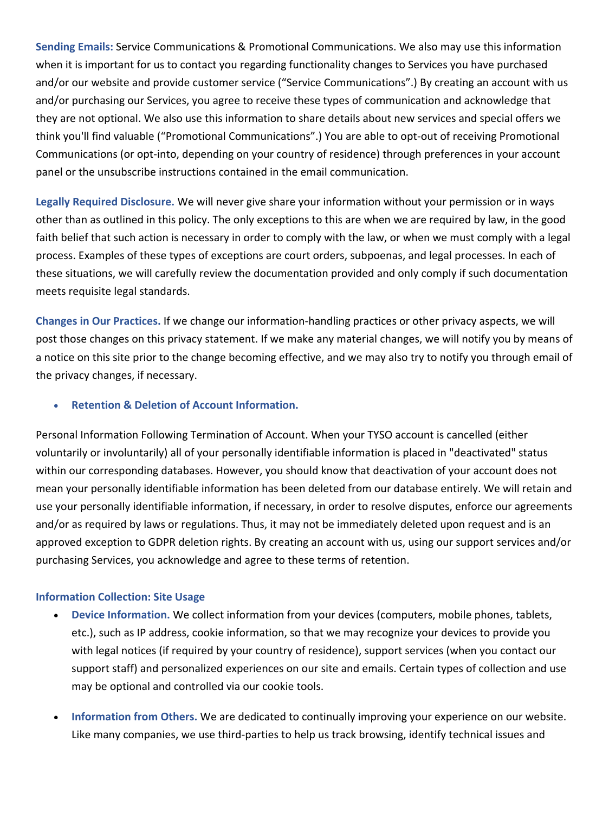**Sending Emails:** Service Communications & Promotional Communications. We also may use this information when it is important for us to contact you regarding functionality changes to Services you have purchased and/or our website and provide customer service ("Service Communications".) By creating an account with us and/or purchasing our Services, you agree to receive these types of communication and acknowledge that they are not optional. We also use this information to share details about new services and special offers we think you'll find valuable ("Promotional Communications".) You are able to opt-out of receiving Promotional Communications (or opt-into, depending on your country of residence) through preferences in your account panel or the unsubscribe instructions contained in the email communication.

**Legally Required Disclosure.** We will never give share your information without your permission or in ways other than as outlined in this policy. The only exceptions to this are when we are required by law, in the good faith belief that such action is necessary in order to comply with the law, or when we must comply with a legal process. Examples of these types of exceptions are court orders, subpoenas, and legal processes. In each of these situations, we will carefully review the documentation provided and only comply if such documentation meets requisite legal standards.

**Changes in Our Practices.** If we change our information-handling practices or other privacy aspects, we will post those changes on this privacy statement. If we make any material changes, we will notify you by means of a notice on this site prior to the change becoming effective, and we may also try to notify you through email of the privacy changes, if necessary.

# • **Retention & Deletion of Account Information.**

Personal Information Following Termination of Account. When your TYSO account is cancelled (either voluntarily or involuntarily) all of your personally identifiable information is placed in "deactivated" status within our corresponding databases. However, you should know that deactivation of your account does not mean your personally identifiable information has been deleted from our database entirely. We will retain and use your personally identifiable information, if necessary, in order to resolve disputes, enforce our agreements and/or as required by laws or regulations. Thus, it may not be immediately deleted upon request and is an approved exception to GDPR deletion rights. By creating an account with us, using our support services and/or purchasing Services, you acknowledge and agree to these terms of retention.

#### **Information Collection: Site Usage**

- **Device Information.** We collect information from your devices (computers, mobile phones, tablets, etc.), such as IP address, cookie information, so that we may recognize your devices to provide you with legal notices (if required by your country of residence), support services (when you contact our support staff) and personalized experiences on our site and emails. Certain types of collection and use may be optional and controlled via our cookie tools.
- **Information from Others.** We are dedicated to continually improving your experience on our website. Like many companies, we use third-parties to help us track browsing, identify technical issues and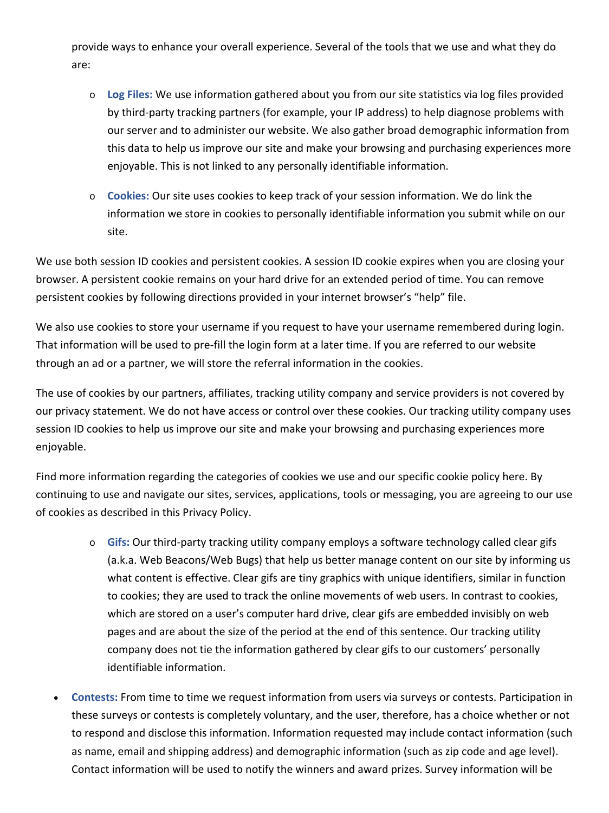provide ways to enhance your overall experience. Several of the tools that we use and what they do are:

- o **Log Files:** We use information gathered about you from our site statistics via log files provided by third-party tracking partners (for example, your IP address) to help diagnose problems with our server and to administer our website. We also gather broad demographic information from this data to help us improve our site and make your browsing and purchasing experiences more enjoyable. This is not linked to any personally identifiable information.
- o **Cookies:** Our site uses cookies to keep track of your session information. We do link the information we store in cookies to personally identifiable information you submit while on our site.

We use both session ID cookies and persistent cookies. A session ID cookie expires when you are closing your browser. A persistent cookie remains on your hard drive for an extended period of time. You can remove persistent cookies by following directions provided in your internet browser's "help" file.

We also use cookies to store your username if you request to have your username remembered during login. That information will be used to pre-fill the login form at a later time. If you are referred to our website through an ad or a partner, we will store the referral information in the cookies.

The use of cookies by our partners, affiliates, tracking utility company and service providers is not covered by our privacy statement. We do not have access or control over these cookies. Our tracking utility company uses session ID cookies to help us improve our site and make your browsing and purchasing experiences more enjoyable.

Find more information regarding the categories of cookies we use and our specific cookie policy here. By continuing to use and navigate our sites, services, applications, tools or messaging, you are agreeing to our use of cookies as described in this Privacy Policy.

- o **Gifs:** Our third-party tracking utility company employs a software technology called clear gifs (a.k.a. Web Beacons/Web Bugs) that help us better manage content on our site by informing us what content is effective. Clear gifs are tiny graphics with unique identifiers, similar in function to cookies; they are used to track the online movements of web users. In contrast to cookies, which are stored on a user's computer hard drive, clear gifs are embedded invisibly on web pages and are about the size of the period at the end of this sentence. Our tracking utility company does not tie the information gathered by clear gifs to our customers' personally identifiable information.
- **Contests:** From time to time we request information from users via surveys or contests. Participation in these surveys or contests is completely voluntary, and the user, therefore, has a choice whether or not to respond and disclose this information. Information requested may include contact information (such as name, email and shipping address) and demographic information (such as zip code and age level). Contact information will be used to notify the winners and award prizes. Survey information will be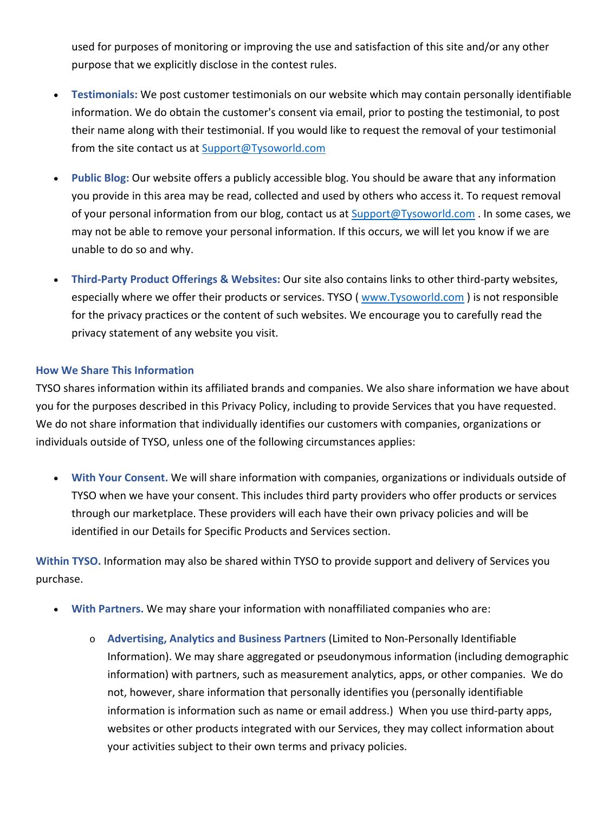used for purposes of monitoring or improving the use and satisfaction of this site and/or any other purpose that we explicitly disclose in the contest rules.

- **Testimonials:** We post customer testimonials on our website which may contain personally identifiable information. We do obtain the customer's consent via email, prior to posting the testimonial, to post their name along with their testimonial. If you would like to request the removal of your testimonial from the site contact us at [Support@Tysoworld.com](mailto:Support@Tysoworld.com)
- **Public Blog:** Our website offers a publicly accessible blog. You should be aware that any information you provide in this area may be read, collected and used by others who access it. To request removal of your personal information from our blog, contact us at **[Support@Tysoworld.com](mailto:Support@Tysoworld.com)** . In some cases, we may not be able to remove your personal information. If this occurs, we will let you know if we are unable to do so and why.
- **Third-Party Product Offerings & Websites:** Our site also contains links to other third-party websites, especially where we offer their products or services. TYSO ( [www.Tysoworld.com](http://www.tysoworld.com/) ) is not responsible for the privacy practices or the content of such websites. We encourage you to carefully read the privacy statement of any website you visit.

## **How We Share This Information**

TYSO shares information within its affiliated brands and companies. We also share information we have about you for the purposes described in this Privacy Policy, including to provide Services that you have requested. We do not share information that individually identifies our customers with companies, organizations or individuals outside of TYSO, unless one of the following circumstances applies:

• **With Your Consent.** We will share information with companies, organizations or individuals outside of TYSO when we have your consent. This includes third party providers who offer products or services through our marketplace. These providers will each have their own privacy policies and will be identified in our Details for Specific Products and Services section.

**Within TYSO.** Information may also be shared within TYSO to provide support and delivery of Services you purchase.

- **With Partners.** We may share your information with nonaffiliated companies who are:
	- o **Advertising, Analytics and Business Partners** (Limited to Non-Personally Identifiable Information). We may share aggregated or pseudonymous information (including demographic information) with partners, such as measurement analytics, apps, or other companies. We do not, however, share information that personally identifies you (personally identifiable information is information such as name or email address.) When you use third-party apps, websites or other products integrated with our Services, they may collect information about your activities subject to their own terms and privacy policies.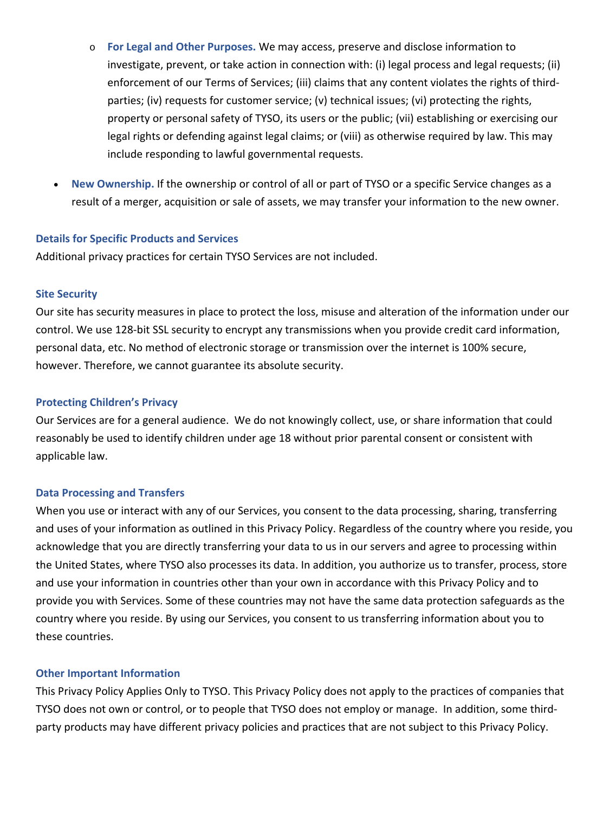- o **For Legal and Other Purposes.** We may access, preserve and disclose information to investigate, prevent, or take action in connection with: (i) legal process and legal requests; (ii) enforcement of our Terms of Services; (iii) claims that any content violates the rights of thirdparties; (iv) requests for customer service; (v) technical issues; (vi) protecting the rights, property or personal safety of TYSO, its users or the public; (vii) establishing or exercising our legal rights or defending against legal claims; or (viii) as otherwise required by law. This may include responding to lawful governmental requests.
- **New Ownership.** If the ownership or control of all or part of TYSO or a specific Service changes as a result of a merger, acquisition or sale of assets, we may transfer your information to the new owner.

#### **Details for Specific Products and Services**

Additional privacy practices for certain TYSO Services are not included.

#### **Site Security**

Our site has security measures in place to protect the loss, misuse and alteration of the information under our control. We use 128-bit SSL security to encrypt any transmissions when you provide credit card information, personal data, etc. No method of electronic storage or transmission over the internet is 100% secure, however. Therefore, we cannot guarantee its absolute security.

# **Protecting Children's Privacy**

Our Services are for a general audience. We do not knowingly collect, use, or share information that could reasonably be used to identify children under age 18 without prior parental consent or consistent with applicable law.

#### **Data Processing and Transfers**

When you use or interact with any of our Services, you consent to the data processing, sharing, transferring and uses of your information as outlined in this Privacy Policy. Regardless of the country where you reside, you acknowledge that you are directly transferring your data to us in our servers and agree to processing within the United States, where TYSO also processes its data. In addition, you authorize us to transfer, process, store and use your information in countries other than your own in accordance with this Privacy Policy and to provide you with Services. Some of these countries may not have the same data protection safeguards as the country where you reside. By using our Services, you consent to us transferring information about you to these countries.

#### **Other Important Information**

This Privacy Policy Applies Only to TYSO. This Privacy Policy does not apply to the practices of companies that TYSO does not own or control, or to people that TYSO does not employ or manage. In addition, some thirdparty products may have different privacy policies and practices that are not subject to this Privacy Policy.